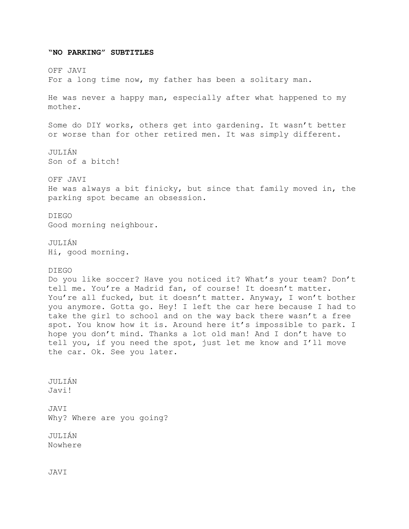## OFF JAVI For a long time now, my father has been a solitary man. He was never a happy man, especially after what happened to my mother. Some do DIY works, others get into gardening. It wasn't better or worse than for other retired men. It was simply different. JULIÁN Son of a bitch! OFF JAVI He was always a bit finicky, but since that family moved in, the parking spot became an obsession. DIEGO Good morning neighbour. JULIÁN Hi, good morning. DIEGO Do you like soccer? Have you noticed it? What's your team? Don't tell me. You're a Madrid fan, of course! It doesn't matter. You're all fucked, but it doesn't matter. Anyway, I won't bother you anymore. Gotta go. Hey! I left the car here because I had to take the girl to school and on the way back there wasn't a free spot. You know how it is. Around here it's impossible to park. I hope you don't mind. Thanks a lot old man! And I don't have to tell you, if you need the spot, just let me know and I'll move the car. Ok. See you later. JULIÁN Javi! JAVI Why? Where are you going? JULIÁN Nowhere JAVI

**"NO PARKING" SUBTITLES**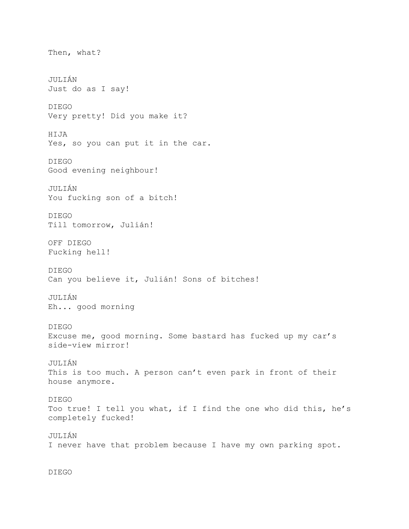Then, what? JULIÁN Just do as I say! DIEGO Very pretty! Did you make it? HIJA Yes, so you can put it in the car. DIEGO Good evening neighbour! JULIÁN You fucking son of a bitch! DIEGO Till tomorrow, Julián! OFF DIEGO Fucking hell! DIEGO Can you believe it, Julián! Sons of bitches! JULIÁN Eh... good morning DIEGO Excuse me, good morning. Some bastard has fucked up my car's side-view mirror! JULIÁN This is too much. A person can't even park in front of their house anymore. DIEGO Too true! I tell you what, if I find the one who did this, he's completely fucked! JULIÁN I never have that problem because I have my own parking spot.

DIEGO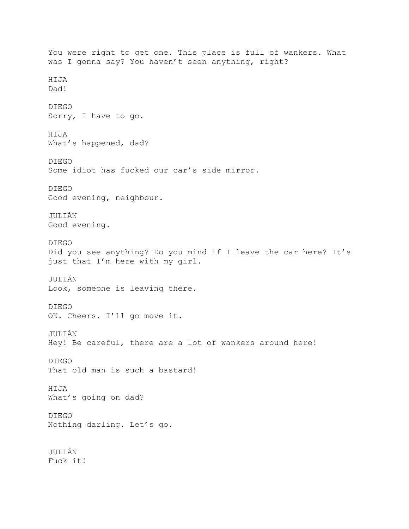You were right to get one. This place is full of wankers. What was I gonna say? You haven't seen anything, right? HIJA Dad! DIEGO Sorry, I have to go. HIJA What's happened, dad? DIEGO Some idiot has fucked our car's side mirror. DIEGO Good evening, neighbour. JULIÁN Good evening. DIEGO Did you see anything? Do you mind if I leave the car here? It's just that I'm here with my girl. JULIÁN Look, someone is leaving there. DIEGO OK. Cheers. I'll go move it. JULIÁN Hey! Be careful, there are a lot of wankers around here! DIEGO That old man is such a bastard! HIJA What's going on dad? DIEGO Nothing darling. Let's go. JULIÁN Fuck it!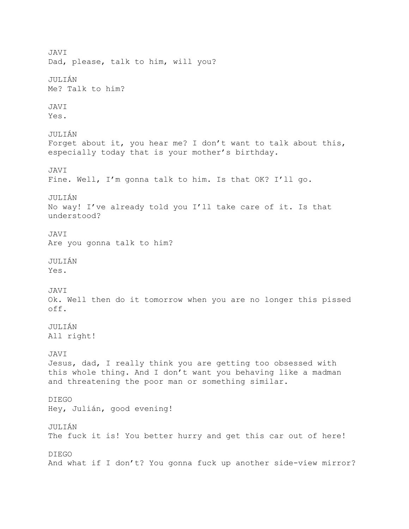JAVI Dad, please, talk to him, will you? JULIÁN Me? Talk to him? JAVI Yes. JULIÁN Forget about it, you hear me? I don't want to talk about this, especially today that is your mother's birthday. JAVI Fine. Well, I'm gonna talk to him. Is that OK? I'll go. JULIÁN No way! I've already told you I'll take care of it. Is that understood? JAVI Are you gonna talk to him? JULIÁN Yes. JAVI Ok. Well then do it tomorrow when you are no longer this pissed off. JULIÁN All right! JAVI Jesus, dad, I really think you are getting too obsessed with this whole thing. And I don't want you behaving like a madman and threatening the poor man or something similar. DIEGO Hey, Julián, good evening! JULIÁN The fuck it is! You better hurry and get this car out of here! DIEGO And what if I don't? You gonna fuck up another side-view mirror?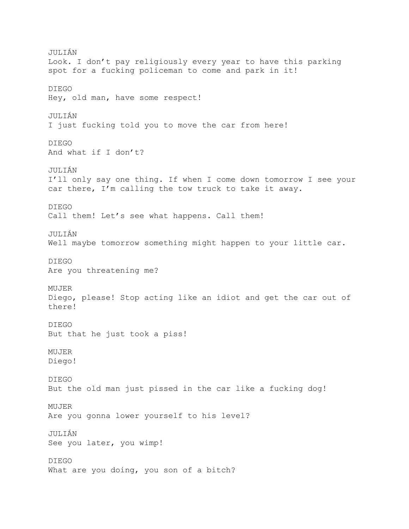JULIÁN Look. I don't pay religiously every year to have this parking spot for a fucking policeman to come and park in it! DIEGO Hey, old man, have some respect! JULIÁN I just fucking told you to move the car from here! DIEGO And what if I don't? JULIÁN I'll only say one thing. If when I come down tomorrow I see your car there, I'm calling the tow truck to take it away. DIEGO Call them! Let's see what happens. Call them! JULIÁN Well maybe tomorrow something might happen to your little car. DIEGO Are you threatening me? MUJER Diego, please! Stop acting like an idiot and get the car out of there! DIEGO But that he just took a piss! MUJER Diego! DIEGO But the old man just pissed in the car like a fucking dog! MUJER Are you gonna lower yourself to his level? JULIÁN See you later, you wimp! DIEGO What are you doing, you son of a bitch?